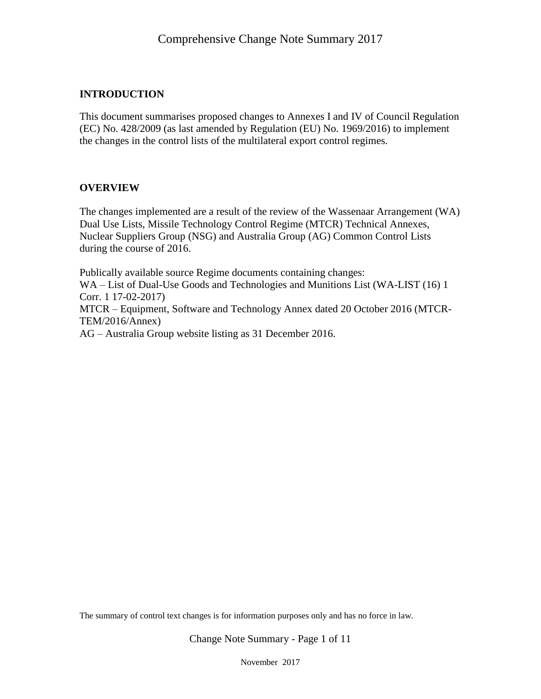#### **INTRODUCTION**

This document summarises proposed changes to Annexes I and IV of Council Regulation (EC) No. 428/2009 (as last amended by Regulation (EU) No. 1969/2016) to implement the changes in the control lists of the multilateral export control regimes.

#### **OVERVIEW**

The changes implemented are a result of the review of the Wassenaar Arrangement (WA) Dual Use Lists, Missile Technology Control Regime (MTCR) Technical Annexes, Nuclear Suppliers Group (NSG) and Australia Group (AG) Common Control Lists during the course of 2016.

Publically available source Regime documents containing changes: WA – List of Dual-Use Goods and Technologies and Munitions List (WA-LIST (16) 1 Corr. 1 17-02-2017) MTCR – Equipment, Software and Technology Annex dated 20 October 2016 (MTCR-TEM/2016/Annex) AG – Australia Group website listing as 31 December 2016.

The summary of control text changes is for information purposes only and has no force in law.

Change Note Summary - Page 1 of 11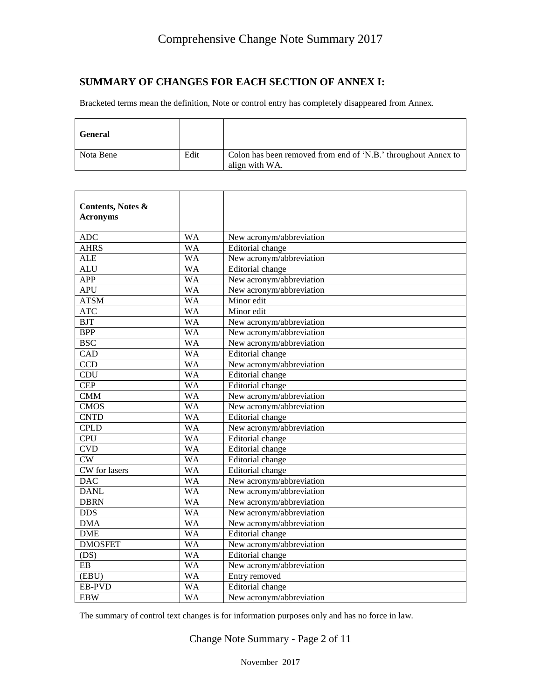#### **SUMMARY OF CHANGES FOR EACH SECTION OF ANNEX I:**

Bracketed terms mean the definition, Note or control entry has completely disappeared from Annex.

| <b>General</b> |      |                                                                                 |
|----------------|------|---------------------------------------------------------------------------------|
| Nota Bene      | Edit | Colon has been removed from end of 'N.B.' throughout Annex to<br>align with WA. |

| Contents, Notes &<br><b>Acronyms</b> |           |                          |
|--------------------------------------|-----------|--------------------------|
| <b>ADC</b>                           | <b>WA</b> | New acronym/abbreviation |
| <b>AHRS</b>                          | <b>WA</b> | Editorial change         |
| <b>ALE</b>                           | <b>WA</b> | New acronym/abbreviation |
| <b>ALU</b>                           | <b>WA</b> | Editorial change         |
| APP                                  | <b>WA</b> | New acronym/abbreviation |
| <b>APU</b>                           | <b>WA</b> | New acronym/abbreviation |
| <b>ATSM</b>                          | <b>WA</b> | Minor edit               |
| ATC                                  | <b>WA</b> | Minor edit               |
| <b>BJT</b>                           | <b>WA</b> | New acronym/abbreviation |
| <b>BPP</b>                           | <b>WA</b> | New acronym/abbreviation |
| <b>BSC</b>                           | <b>WA</b> | New acronym/abbreviation |
| CAD                                  | <b>WA</b> | <b>Editorial</b> change  |
| CCD                                  | <b>WA</b> | New acronym/abbreviation |
| CDU                                  | <b>WA</b> | Editorial change         |
| <b>CEP</b>                           | <b>WA</b> | Editorial change         |
| <b>CMM</b>                           | <b>WA</b> | New acronym/abbreviation |
| <b>CMOS</b>                          | <b>WA</b> | New acronym/abbreviation |
| <b>CNTD</b>                          | <b>WA</b> | Editorial change         |
| <b>CPLD</b>                          | <b>WA</b> | New acronym/abbreviation |
| <b>CPU</b>                           | <b>WA</b> | Editorial change         |
| <b>CVD</b>                           | <b>WA</b> | Editorial change         |
| CW                                   | <b>WA</b> | Editorial change         |
| CW for lasers                        | <b>WA</b> | Editorial change         |
| <b>DAC</b>                           | <b>WA</b> | New acronym/abbreviation |
| <b>DANL</b>                          | <b>WA</b> | New acronym/abbreviation |
| <b>DBRN</b>                          | <b>WA</b> | New acronym/abbreviation |
| <b>DDS</b>                           | <b>WA</b> | New acronym/abbreviation |
| <b>DMA</b>                           | <b>WA</b> | New acronym/abbreviation |
| <b>DME</b>                           | <b>WA</b> | Editorial change         |
| <b>DMOSFET</b>                       | <b>WA</b> | New acronym/abbreviation |
| (DS)                                 | <b>WA</b> | Editorial change         |
| $\rm EB$                             | <b>WA</b> | New acronym/abbreviation |
| (EBU)                                | <b>WA</b> | Entry removed            |
| <b>EB-PVD</b>                        | <b>WA</b> | Editorial change         |
| <b>EBW</b>                           | <b>WA</b> | New acronym/abbreviation |

The summary of control text changes is for information purposes only and has no force in law.

Change Note Summary - Page 2 of 11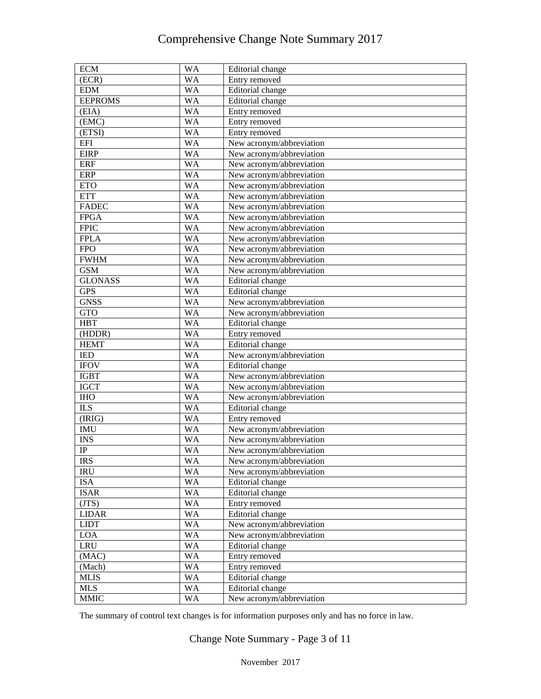| <b>ECM</b>     | <b>WA</b>       | Editorial change         |
|----------------|-----------------|--------------------------|
| (ECR)          | WA              | Entry removed            |
| <b>EDM</b>     | <b>WA</b>       | Editorial change         |
| <b>EEPROMS</b> | <b>WA</b>       | Editorial change         |
| (EIA)          | <b>WA</b>       | Entry removed            |
| (EMC)          | <b>WA</b>       | Entry removed            |
| (ETSI)         | <b>WA</b>       | Entry removed            |
| <b>EFI</b>     | <b>WA</b>       | New acronym/abbreviation |
| <b>EIRP</b>    | <b>WA</b>       | New acronym/abbreviation |
| <b>ERF</b>     | <b>WA</b>       | New acronym/abbreviation |
| <b>ERP</b>     | <b>WA</b>       | New acronym/abbreviation |
| <b>ETO</b>     | <b>WA</b>       | New acronym/abbreviation |
| <b>ETT</b>     | <b>WA</b>       | New acronym/abbreviation |
| <b>FADEC</b>   | <b>WA</b>       | New acronym/abbreviation |
| <b>FPGA</b>    | <b>WA</b>       | New acronym/abbreviation |
| <b>FPIC</b>    | <b>WA</b>       | New acronym/abbreviation |
| <b>FPLA</b>    | <b>WA</b>       | New acronym/abbreviation |
| <b>FPO</b>     | <b>WA</b>       | New acronym/abbreviation |
| <b>FWHM</b>    | <b>WA</b>       | New acronym/abbreviation |
| <b>GSM</b>     | <b>WA</b>       | New acronym/abbreviation |
| <b>GLONASS</b> | <b>WA</b>       | Editorial change         |
| <b>GPS</b>     | <b>WA</b>       | Editorial change         |
| <b>GNSS</b>    | <b>WA</b>       | New acronym/abbreviation |
| <b>GTO</b>     | <b>WA</b>       | New acronym/abbreviation |
| <b>HBT</b>     | <b>WA</b>       | Editorial change         |
| (HDDR)         | <b>WA</b>       | Entry removed            |
| <b>HEMT</b>    | <b>WA</b>       | Editorial change         |
| <b>IED</b>     | <b>WA</b>       | New acronym/abbreviation |
| <b>IFOV</b>    | <b>WA</b>       | Editorial change         |
| <b>IGBT</b>    | <b>WA</b>       | New acronym/abbreviation |
| <b>IGCT</b>    | <b>WA</b>       | New acronym/abbreviation |
| <b>IHO</b>     | <b>WA</b>       | New acronym/abbreviation |
| <b>ILS</b>     | <b>WA</b>       | Editorial change         |
| (IRIG)         | <b>WA</b>       | Entry removed            |
| <b>IMU</b>     | <b>WA</b>       | New acronym/abbreviation |
| <b>INS</b>     | <b>WA</b>       | New acronym/abbreviation |
| $\rm IP$       | <b>WA</b>       | New acronym/abbreviation |
| <b>IRS</b>     | <b>WA</b>       | New acronym/abbreviation |
| <b>IRU</b>     | <b>WA</b>       | New acronym/abbreviation |
| <b>ISA</b>     | $\overline{W}A$ | Editorial change         |
| <b>ISAR</b>    | <b>WA</b>       | Editorial change         |
| (TTS)          | <b>WA</b>       | Entry removed            |
| <b>LIDAR</b>   | <b>WA</b>       | Editorial change         |
| <b>LIDT</b>    | <b>WA</b>       | New acronym/abbreviation |
| LOA            | <b>WA</b>       | New acronym/abbreviation |
| <b>LRU</b>     | <b>WA</b>       | Editorial change         |
| (MAC)          | WA              | Entry removed            |
| (Mach)         | WA              | Entry removed            |
| <b>MLIS</b>    | <b>WA</b>       | Editorial change         |
| <b>MLS</b>     | WA              | Editorial change         |
| <b>MMIC</b>    | <b>WA</b>       | New acronym/abbreviation |

The summary of control text changes is for information purposes only and has no force in law.

Change Note Summary - Page 3 of 11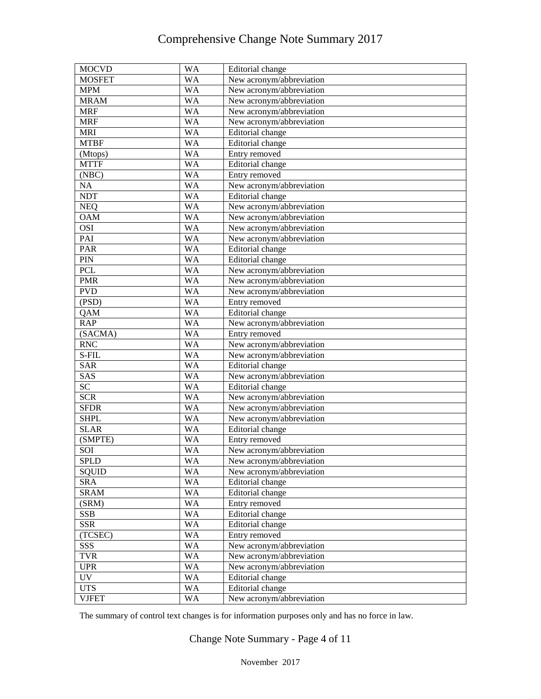| <b>MOCVD</b>  | <b>WA</b> | Editorial change         |
|---------------|-----------|--------------------------|
| <b>MOSFET</b> | WA        | New acronym/abbreviation |
| <b>MPM</b>    | WA        | New acronym/abbreviation |
| <b>MRAM</b>   | WA        | New acronym/abbreviation |
| <b>MRF</b>    | WA        | New acronym/abbreviation |
| <b>MRF</b>    | WA        | New acronym/abbreviation |
| <b>MRI</b>    | WA        | Editorial change         |
| <b>MTBF</b>   | WA        | Editorial change         |
| (Mtops)       | WA        | Entry removed            |
| <b>MTTF</b>   | WA        | Editorial change         |
| (NBC)         | WA        | Entry removed            |
| NA            | WA        | New acronym/abbreviation |
| <b>NDT</b>    | WA        | Editorial change         |
| <b>NEQ</b>    | WA        | New acronym/abbreviation |
| <b>OAM</b>    | WA        | New acronym/abbreviation |
| <b>OSI</b>    | WA        | New acronym/abbreviation |
| PAI           | WA        | New acronym/abbreviation |
| <b>PAR</b>    | WA        | Editorial change         |
| PIN           | WA        | Editorial change         |
| PCL           | WA        | New acronym/abbreviation |
| <b>PMR</b>    | WA        | New acronym/abbreviation |
| <b>PVD</b>    | WA        | New acronym/abbreviation |
| (PSD)         | WA        | Entry removed            |
| QAM           | WA        | Editorial change         |
| <b>RAP</b>    | WA        | New acronym/abbreviation |
| (SACMA)       | WA        | Entry removed            |
| <b>RNC</b>    | WA        | New acronym/abbreviation |
| S-FIL         | WA        | New acronym/abbreviation |
| <b>SAR</b>    | WA        | Editorial change         |
| SAS           | WA        | New acronym/abbreviation |
| SC            | WA        | Editorial change         |
| <b>SCR</b>    | WA        | New acronym/abbreviation |
| <b>SFDR</b>   | WA        | New acronym/abbreviation |
| <b>SHPL</b>   | WA        | New acronym/abbreviation |
| <b>SLAR</b>   | WA        | Editorial change         |
| (SMPTE)       | WA        | Entry removed            |
| SOI           | WA        | New acronym/abbreviation |
| SPLD          | WA        | New acronym/abbreviation |
| <b>SQUID</b>  | WA        | New acronym/abbreviation |
| <b>SRA</b>    | WA        | Editorial change         |
| <b>SRAM</b>   | WA        | Editorial change         |
| (SRM)         | WA        | Entry removed            |
| <b>SSB</b>    | WA        | Editorial change         |
| <b>SSR</b>    | WA        | Editorial change         |
| (TCSEC)       | WA        | Entry removed            |
| SSS           | WA        | New acronym/abbreviation |
| <b>TVR</b>    | WA        | New acronym/abbreviation |
| <b>UPR</b>    | WA        | New acronym/abbreviation |
| <b>UV</b>     | WA        | Editorial change         |
| <b>UTS</b>    | WA        | Editorial change         |
| <b>VJFET</b>  | WA        | New acronym/abbreviation |

The summary of control text changes is for information purposes only and has no force in law.

Change Note Summary - Page 4 of 11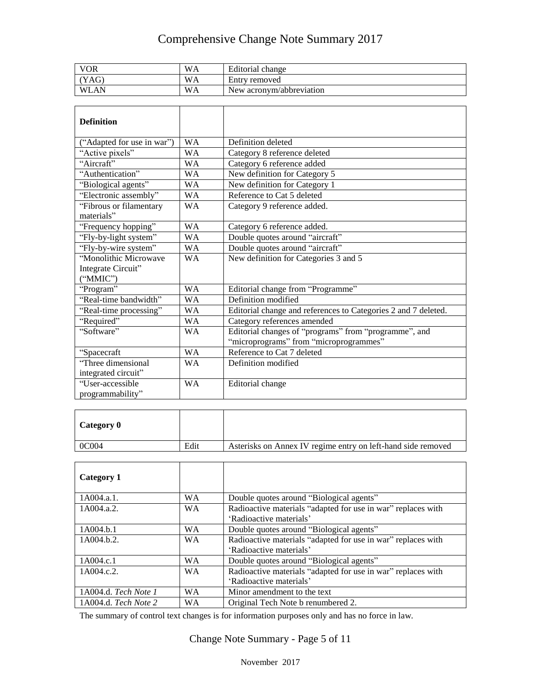| <b>VOR</b>  | WA | Editorial change         |
|-------------|----|--------------------------|
| YAG)        | WA | Entry removed            |
| <b>WLAN</b> | WA | New acronym/abbreviation |

| <b>Definition</b>          |           |                                                                |
|----------------------------|-----------|----------------------------------------------------------------|
| ("Adapted for use in war") | <b>WA</b> | Definition deleted                                             |
| "Active pixels"            | <b>WA</b> | Category 8 reference deleted                                   |
| "Aircraft"                 | <b>WA</b> | Category 6 reference added                                     |
| "Authentication"           | WA        | New definition for Category 5                                  |
| "Biological agents"        | <b>WA</b> | New definition for Category 1                                  |
| "Electronic assembly"      | <b>WA</b> | Reference to Cat 5 deleted                                     |
| "Fibrous or filamentary    | <b>WA</b> | Category 9 reference added.                                    |
| materials"                 |           |                                                                |
| "Frequency hopping"        | <b>WA</b> | Category 6 reference added.                                    |
| "Fly-by-light system"      | <b>WA</b> | Double quotes around "aircraft"                                |
| "Fly-by-wire system"       | <b>WA</b> | Double quotes around "aircraft"                                |
| "Monolithic Microwave      | <b>WA</b> | New definition for Categories 3 and 5                          |
| Integrate Circuit"         |           |                                                                |
| ("MMIC")                   |           |                                                                |
| "Program"                  | <b>WA</b> | Editorial change from "Programme"                              |
| "Real-time bandwidth"      | <b>WA</b> | Definition modified                                            |
| "Real-time processing"     | <b>WA</b> | Editorial change and references to Categories 2 and 7 deleted. |
| "Required"                 | <b>WA</b> | Category references amended                                    |
| "Software"                 | <b>WA</b> | Editorial changes of "programs" from "programme", and          |
|                            |           | "microprograms" from "microprogrammes"                         |
| "Spacecraft                | <b>WA</b> | Reference to Cat 7 deleted                                     |
| "Three dimensional         | <b>WA</b> | Definition modified                                            |
| integrated circuit"        |           |                                                                |
| "User-accessible           | <b>WA</b> | Editorial change                                               |
| programmability"           |           |                                                                |

| Category 0 |      |                                                              |
|------------|------|--------------------------------------------------------------|
| 0C004      | Edit | Asterisks on Annex IV regime entry on left-hand side removed |

| Category 1           |           |                                                                                         |
|----------------------|-----------|-----------------------------------------------------------------------------------------|
| 1A004.a.1.           | <b>WA</b> | Double quotes around "Biological agents"                                                |
| 1A004.a.2.           | <b>WA</b> | Radioactive materials "adapted for use in war" replaces with<br>'Radioactive materials' |
| 1A004.b.1            | <b>WA</b> | Double quotes around "Biological agents"                                                |
| 1A004.b.2.           | <b>WA</b> | Radioactive materials "adapted for use in war" replaces with<br>'Radioactive materials' |
| 1A004.c.1            | <b>WA</b> | Double quotes around "Biological agents"                                                |
| 1A004.c.2.           | <b>WA</b> | Radioactive materials "adapted for use in war" replaces with<br>'Radioactive materials' |
| 1A004.d. Tech Note 1 | <b>WA</b> | Minor amendment to the text                                                             |
| 1A004.d. Tech Note 2 | WА        | Original Tech Note b renumbered 2.                                                      |

The summary of control text changes is for information purposes only and has no force in law.

Change Note Summary - Page 5 of 11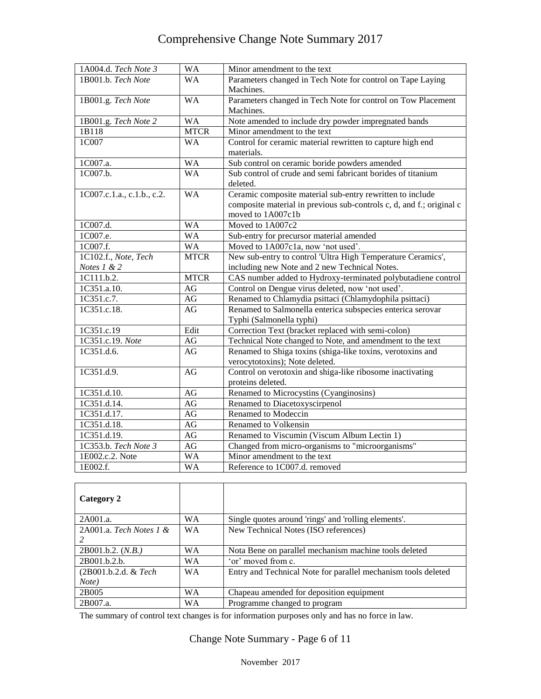| 1A004.d. Tech Note 3       | <b>WA</b>   | Minor amendment to the text                                          |
|----------------------------|-------------|----------------------------------------------------------------------|
| 1B001.b. Tech Note         | <b>WA</b>   | Parameters changed in Tech Note for control on Tape Laying           |
|                            |             | Machines.                                                            |
| 1B001.g. Tech Note         | <b>WA</b>   | Parameters changed in Tech Note for control on Tow Placement         |
|                            |             | Machines.                                                            |
| 1B001.g. Tech Note 2       | <b>WA</b>   | Note amended to include dry powder impregnated bands                 |
| 1B118                      | <b>MTCR</b> | Minor amendment to the text                                          |
| 1C007                      | <b>WA</b>   | Control for ceramic material rewritten to capture high end           |
|                            |             | materials.                                                           |
| 1C007.a.                   | <b>WA</b>   | Sub control on ceramic boride powders amended                        |
| 1C007.b.                   | <b>WA</b>   | Sub control of crude and semi fabricant borides of titanium          |
|                            |             | deleted.                                                             |
| 1C007.c.1.a., c.1.b., c.2. | <b>WA</b>   | Ceramic composite material sub-entry rewritten to include            |
|                            |             | composite material in previous sub-controls c, d, and f.; original c |
|                            |             | moved to 1A007c1b                                                    |
| 1C007.d.                   | <b>WA</b>   | Moved to 1A007c2                                                     |
| 1C007.e.                   | <b>WA</b>   | Sub-entry for precursor material amended                             |
| 1C007.f.                   | <b>WA</b>   | Moved to 1A007c1a, now 'not used'.                                   |
| 1C102.f., Note, Tech       | <b>MTCR</b> | New sub-entry to control 'Ultra High Temperature Ceramics',          |
| Notes $1 & 2$              |             | including new Note and 2 new Technical Notes.                        |
| 1C111.b.2.                 | <b>MTCR</b> | CAS number added to Hydroxy-terminated polybutadiene control         |
| 1C351.a.10.                | AG          | Control on Dengue virus deleted, now 'not used'.                     |
| 1C351.c.7.                 | AG          | Renamed to Chlamydia psittaci (Chlamydophila psittaci)               |
| 1C351.c.18.                | AG          | Renamed to Salmonella enterica subspecies enterica serovar           |
|                            |             | Typhi (Salmonella typhi)                                             |
| 1C351.c.19                 | Edit        | Correction Text (bracket replaced with semi-colon)                   |
| 1C351.c.19. Note           | AG          | Technical Note changed to Note, and amendment to the text            |
| 1C351.d.6.                 | AG          | Renamed to Shiga toxins (shiga-like toxins, verotoxins and           |
|                            |             | verocytotoxins); Note deleted.                                       |
| 1C351.d.9.                 | $\rm{AG}$   | Control on verotoxin and shiga-like ribosome inactivating            |
|                            |             | proteins deleted.                                                    |
| 1C351.d.10.                | AG          | Renamed to Microcystins (Cyanginosins)                               |
| 1C351.d.14.                | AG          | Renamed to Diacetoxyscirpenol                                        |
| 1C351.d.17.                | AG          | Renamed to Modeccin                                                  |
| 1C351.d.18.                | AG          | Renamed to Volkensin                                                 |
| 1C351.d.19.                | AG          | Renamed to Viscumin (Viscum Album Lectin 1)                          |
| 1C353.b. Tech Note 3       | AG          | Changed from micro-organisms to "microorganisms"                     |
| 1E002.c.2. Note            | <b>WA</b>   | Minor amendment to the text                                          |
| 1E002.f.                   | <b>WA</b>   | Reference to 1C007.d. removed                                        |

| Category 2                 |           |                                                               |
|----------------------------|-----------|---------------------------------------------------------------|
| 2A001.a.                   | WA        | Single quotes around 'rings' and 'rolling elements'.          |
| 2A001.a. Tech Notes $1 \&$ | <b>WA</b> | New Technical Notes (ISO references)                          |
|                            |           |                                                               |
| 2B001.b.2. (N.B.)          | WA.       | Nota Bene on parallel mechanism machine tools deleted         |
| 2B001.b.2.b.               | WA        | 'or' moved from c.                                            |
| (2B001.b.2.d. & Tech       | <b>WA</b> | Entry and Technical Note for parallel mechanism tools deleted |
| Note)                      |           |                                                               |
| 2B005                      | <b>WA</b> | Chapeau amended for deposition equipment                      |
| 2B007.a.                   | WА        | Programme changed to program                                  |

The summary of control text changes is for information purposes only and has no force in law.

Change Note Summary - Page 6 of 11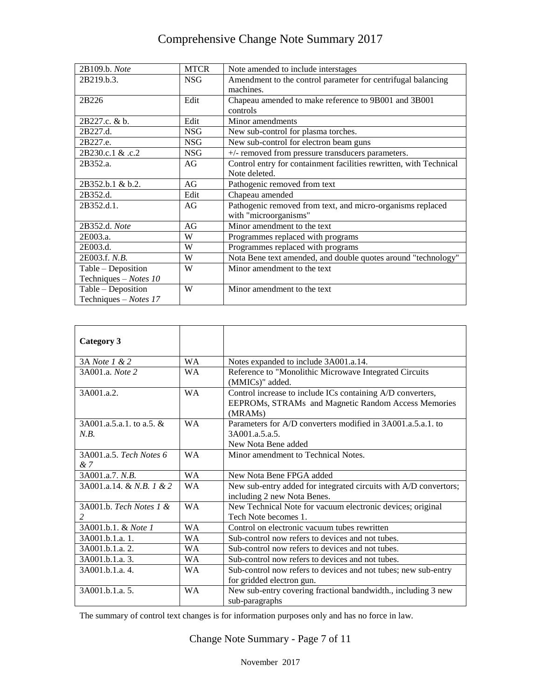| 2B109.b. Note         | <b>MTCR</b> | Note amended to include interstages                                |
|-----------------------|-------------|--------------------------------------------------------------------|
| 2B219.b.3.            | <b>NSG</b>  | Amendment to the control parameter for centrifugal balancing       |
|                       |             | machines.                                                          |
| 2B226                 | Edit        | Chapeau amended to make reference to 9B001 and 3B001               |
|                       |             | controls                                                           |
| 2B227.c. & b.         | Edit        | Minor amendments                                                   |
| 2B227.d.              | <b>NSG</b>  | New sub-control for plasma torches.                                |
| 2B227.e.              | <b>NSG</b>  | New sub-control for electron beam guns                             |
| 2B230.c.1 & .c.2      | <b>NSG</b>  | +/- removed from pressure transducers parameters.                  |
| 2B352.a.              | AG          | Control entry for containment facilities rewritten, with Technical |
|                       |             | Note deleted.                                                      |
| 2B352.b.1 & b.2.      | AG          | Pathogenic removed from text                                       |
| 2B352.d.              | Edit        | Chapeau amended                                                    |
| 2B352.d.1.            | AG          | Pathogenic removed from text, and micro-organisms replaced         |
|                       |             | with "microorganisms"                                              |
| 2B352.d. Note         | AG          | Minor amendment to the text                                        |
| 2E003.a.              | W           | Programmes replaced with programs                                  |
| 2E003.d.              | W           | Programmes replaced with programs                                  |
| 2E003.f. N.B.         | W           | Nota Bene text amended, and double quotes around "technology"      |
| Table - Deposition    | W           | Minor amendment to the text                                        |
| Techniques - Notes 10 |             |                                                                    |
| Table - Deposition    | W           | Minor amendment to the text                                        |
| Techniques - Notes 17 |             |                                                                    |

| Category 3                 |           |                                                                  |
|----------------------------|-----------|------------------------------------------------------------------|
|                            |           |                                                                  |
| 3A Note 1 & 2              | <b>WA</b> | Notes expanded to include 3A001.a.14.                            |
| 3A001.a. Note 2            | <b>WA</b> | Reference to "Monolithic Microwave Integrated Circuits           |
|                            |           | (MMICs)" added.                                                  |
| 3A001.a.2.                 | <b>WA</b> | Control increase to include ICs containing A/D converters,       |
|                            |           | EEPROMs, STRAMs and Magnetic Random Access Memories              |
|                            |           | (MRAM <sub>s</sub> )                                             |
| $3A001.a.5.a.1.$ to a.5. & | <b>WA</b> | Parameters for A/D converters modified in 3A001.a.5.a.1. to      |
| N.B.                       |           | 3A001.a.5.a.5.                                                   |
|                            |           | New Nota Bene added                                              |
| 3A001.a.5. Tech Notes 6    | <b>WA</b> | Minor amendment to Technical Notes.                              |
| &7                         |           |                                                                  |
| 3A001.a.7. N.B.            | <b>WA</b> | New Nota Bene FPGA added                                         |
| 3A001.a.14. & N.B. 1 & 2   | <b>WA</b> | New sub-entry added for integrated circuits with A/D convertors; |
|                            |           | including 2 new Nota Benes.                                      |
| 3A001.b. Tech Notes 1 &    | <b>WA</b> | New Technical Note for vacuum electronic devices; original       |
|                            |           | Tech Note becomes 1.                                             |
| 3A001.b.1. & Note 1        | <b>WA</b> | Control on electronic vacuum tubes rewritten                     |
| 3A001.b.1.a. 1.            | <b>WA</b> | Sub-control now refers to devices and not tubes.                 |
| 3A001.b.1.a. 2.            | <b>WA</b> | Sub-control now refers to devices and not tubes.                 |
| 3A001.b.1.a. 3.            | WA.       | Sub-control now refers to devices and not tubes.                 |
| 3A001.b.1.a. 4.            | <b>WA</b> | Sub-control now refers to devices and not tubes; new sub-entry   |
|                            |           | for gridded electron gun.                                        |
| 3A001.b.1.a. 5.            | <b>WA</b> | New sub-entry covering fractional bandwidth., including 3 new    |
|                            |           | sub-paragraphs                                                   |

The summary of control text changes is for information purposes only and has no force in law.

Change Note Summary - Page 7 of 11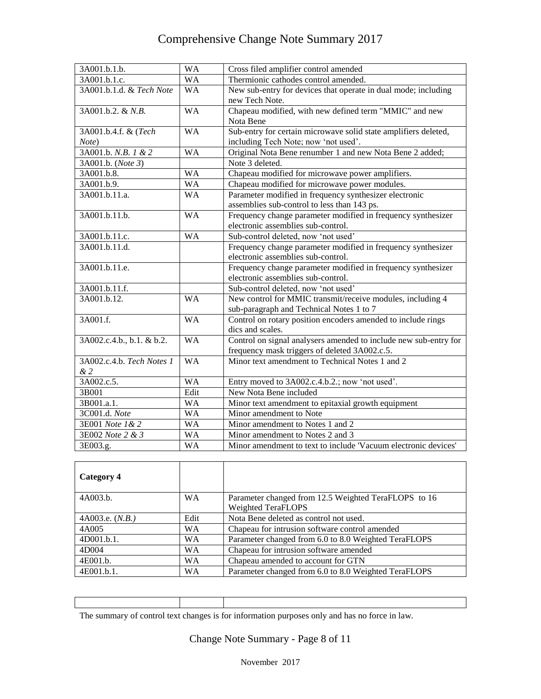| 3A001.b.1.b.              | <b>WA</b>              | Cross filed amplifier control amended                            |
|---------------------------|------------------------|------------------------------------------------------------------|
| 3A001.b.1.c.              | $\overline{\text{WA}}$ | Thermionic cathodes control amended.                             |
| 3A001.b.1.d. & Tech Note  | <b>WA</b>              | New sub-entry for devices that operate in dual mode; including   |
|                           |                        | new Tech Note.                                                   |
| 3A001.b.2. & N.B.         | <b>WA</b>              | Chapeau modified, with new defined term "MMIC" and new           |
|                           |                        | Nota Bene                                                        |
| 3A001.b.4.f. & (Tech      | <b>WA</b>              | Sub-entry for certain microwave solid state amplifiers deleted,  |
| Note)                     |                        | including Tech Note; now 'not used'.                             |
| 3A001.b. N.B. 1 & 2       | <b>WA</b>              | Original Nota Bene renumber 1 and new Nota Bene 2 added;         |
| 3A001.b. (Note 3)         |                        | Note 3 deleted.                                                  |
| 3A001.b.8.                | <b>WA</b>              | Chapeau modified for microwave power amplifiers.                 |
| 3A001.b.9.                | <b>WA</b>              | Chapeau modified for microwave power modules.                    |
| 3A001.b.11.a.             | <b>WA</b>              | Parameter modified in frequency synthesizer electronic           |
|                           |                        | assemblies sub-control to less than 143 ps.                      |
| 3A001.b.11.b.             | <b>WA</b>              | Frequency change parameter modified in frequency synthesizer     |
|                           |                        | electronic assemblies sub-control.                               |
| 3A001.b.11.c.             | <b>WA</b>              | Sub-control deleted, now 'not used'                              |
| 3A001.b.11.d.             |                        | Frequency change parameter modified in frequency synthesizer     |
|                           |                        | electronic assemblies sub-control.                               |
| 3A001.b.11.e.             |                        | Frequency change parameter modified in frequency synthesizer     |
|                           |                        | electronic assemblies sub-control.                               |
| 3A001.b.11.f.             |                        | Sub-control deleted, now 'not used'                              |
| 3A001.b.12.               | <b>WA</b>              | New control for MMIC transmit/receive modules, including 4       |
|                           |                        | sub-paragraph and Technical Notes 1 to 7                         |
| 3A001.f.                  | <b>WA</b>              | Control on rotary position encoders amended to include rings     |
|                           |                        | dics and scales.                                                 |
| 3A002.c.4.b., b.1. & b.2. | <b>WA</b>              | Control on signal analysers amended to include new sub-entry for |
|                           |                        | frequency mask triggers of deleted 3A002.c.5.                    |
| 3A002.c.4.b. Tech Notes 1 | <b>WA</b>              | Minor text amendment to Technical Notes 1 and 2                  |
| & 2                       |                        |                                                                  |
| 3A002.c.5.                | <b>WA</b>              | Entry moved to 3A002.c.4.b.2.; now 'not used'.                   |
| 3B001                     | Edit                   | New Nota Bene included                                           |
| 3B001.a.1.                | <b>WA</b>              | Minor text amendment to epitaxial growth equipment               |
| 3C001.d. Note             | <b>WA</b>              | Minor amendment to Note                                          |
| 3E001 Note 1 & 2          | <b>WA</b>              | Minor amendment to Notes 1 and 2                                 |
| 3E002 Note 2 & 3          | <b>WA</b>              | Minor amendment to Notes 2 and 3                                 |
| 3E003.g.                  | <b>WA</b>              | Minor amendment to text to include 'Vacuum electronic devices'   |

| Category 4        |           |                                                      |
|-------------------|-----------|------------------------------------------------------|
| 4A003.b.          | <b>WA</b> | Parameter changed from 12.5 Weighted TeraFLOPS to 16 |
|                   |           | Weighted TeraFLOPS                                   |
| 4A003.e. $(N.B.)$ | Edit      | Nota Bene deleted as control not used.               |
| 4A005             | <b>WA</b> | Chapeau for intrusion software control amended       |
| 4D001.b.1.        | <b>WA</b> | Parameter changed from 6.0 to 8.0 Weighted TeraFLOPS |
| 4D004             | <b>WA</b> | Chapeau for intrusion software amended               |
| 4E001.b.          | <b>WA</b> | Chapeau amended to account for GTN                   |
| 4E001.b.1.        | WA        | Parameter changed from 6.0 to 8.0 Weighted TeraFLOPS |

| The summary of control text changes is for information purposes only and has no force in law. |  |  |  |  |
|-----------------------------------------------------------------------------------------------|--|--|--|--|
|                                                                                               |  |  |  |  |

Change Note Summary - Page 8 of 11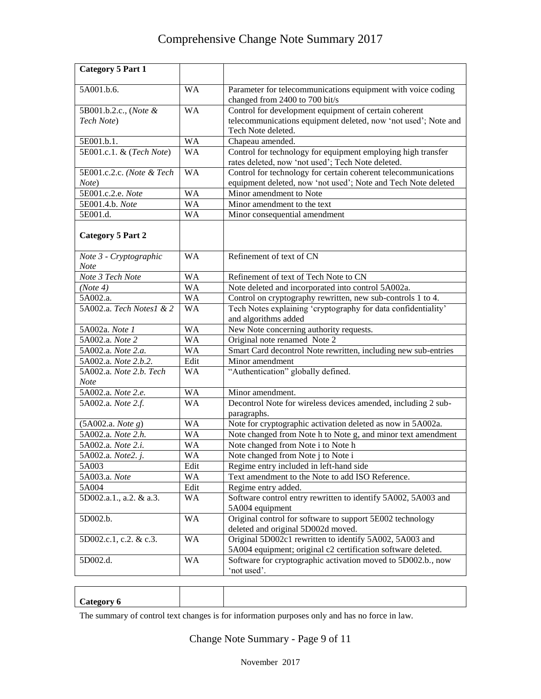| <b>Category 5 Part 1</b>               |           |                                                                                                                         |
|----------------------------------------|-----------|-------------------------------------------------------------------------------------------------------------------------|
| 5A001.b.6.                             | <b>WA</b> | Parameter for telecommunications equipment with voice coding<br>changed from 2400 to 700 bit/s                          |
| 5B001.b.2.c., (Note &                  | <b>WA</b> | Control for development equipment of certain coherent                                                                   |
| Tech Note)                             |           | telecommunications equipment deleted, now 'not used'; Note and                                                          |
|                                        |           | Tech Note deleted.                                                                                                      |
| 5E001.b.1.                             | <b>WA</b> | Chapeau amended.                                                                                                        |
| 5E001.c.1. & (Tech Note)               | <b>WA</b> | Control for technology for equipment employing high transfer<br>rates deleted, now 'not used'; Tech Note deleted.       |
| 5E001.c.2.c. (Note & Tech              | <b>WA</b> | Control for technology for certain coherent telecommunications                                                          |
| Note)                                  |           | equipment deleted, now 'not used'; Note and Tech Note deleted                                                           |
| 5E001.c.2.e. Note                      | <b>WA</b> | Minor amendment to Note                                                                                                 |
| 5E001.4.b. Note                        | <b>WA</b> | Minor amendment to the text                                                                                             |
| 5E001.d.                               | <b>WA</b> | Minor consequential amendment                                                                                           |
| <b>Category 5 Part 2</b>               |           |                                                                                                                         |
| Note 3 - Cryptographic<br>Note         | <b>WA</b> | Refinement of text of CN                                                                                                |
| Note 3 Tech Note                       | <b>WA</b> | Refinement of text of Tech Note to CN                                                                                   |
| (Note 4)                               | <b>WA</b> | Note deleted and incorporated into control 5A002a.                                                                      |
| 5A002.a.                               | <b>WA</b> | Control on cryptography rewritten, new sub-controls 1 to 4.                                                             |
| 5A002.a. Tech Notes1 & 2               | <b>WA</b> | Tech Notes explaining 'cryptography for data confidentiality'                                                           |
|                                        |           | and algorithms added                                                                                                    |
| 5A002a. Note 1                         | <b>WA</b> | New Note concerning authority requests.                                                                                 |
| 5A002.a. Note 2                        | <b>WA</b> | Original note renamed Note 2                                                                                            |
| 5A002.a. Note 2.a.                     | <b>WA</b> | Smart Card decontrol Note rewritten, including new sub-entries                                                          |
| 5A002.a. Note 2.b.2.                   | Edit      | Minor amendment                                                                                                         |
| 5A002.a. Note 2.b. Tech<br><b>Note</b> | <b>WA</b> | "Authentication" globally defined.                                                                                      |
| 5A002.a. Note 2.e.                     | <b>WA</b> | Minor amendment.                                                                                                        |
| 5A002.a. Note 2.f.                     | <b>WA</b> | Decontrol Note for wireless devices amended, including 2 sub-<br>paragraphs.                                            |
| (5A002.a. Note g)                      | <b>WA</b> | Note for cryptographic activation deleted as now in 5A002a.                                                             |
| 5A002.a. Note 2.h.                     | <b>WA</b> | Note changed from Note h to Note g, and minor text amendment                                                            |
| 5A002.a. Note 2.i.                     | <b>WA</b> | Note changed from Note i to Note h                                                                                      |
| 5A002.a. <i>Note2. j.</i>              | <b>WA</b> | Note changed from Note j to Note i                                                                                      |
| 5A003                                  | Edit      | Regime entry included in left-hand side                                                                                 |
| 5A003.a. Note                          | WA        | Text amendment to the Note to add ISO Reference.                                                                        |
| 5A004                                  | Edit      | Regime entry added.                                                                                                     |
| 5D002.a.1., a.2. & a.3.                | WA        | Software control entry rewritten to identify 5A002, 5A003 and<br>5A004 equipment                                        |
| 5D002.b.                               | <b>WA</b> | Original control for software to support 5E002 technology<br>deleted and original 5D002d moved.                         |
| 5D002.c.1, c.2. & c.3.                 | <b>WA</b> | Original 5D002c1 rewritten to identify 5A002, 5A003 and<br>5A004 equipment; original c2 certification software deleted. |
| 5D002.d.                               | <b>WA</b> | Software for cryptographic activation moved to 5D002.b., now<br>'not used'.                                             |

The summary of control text changes is for information purposes only and has no force in law.

Change Note Summary - Page 9 of 11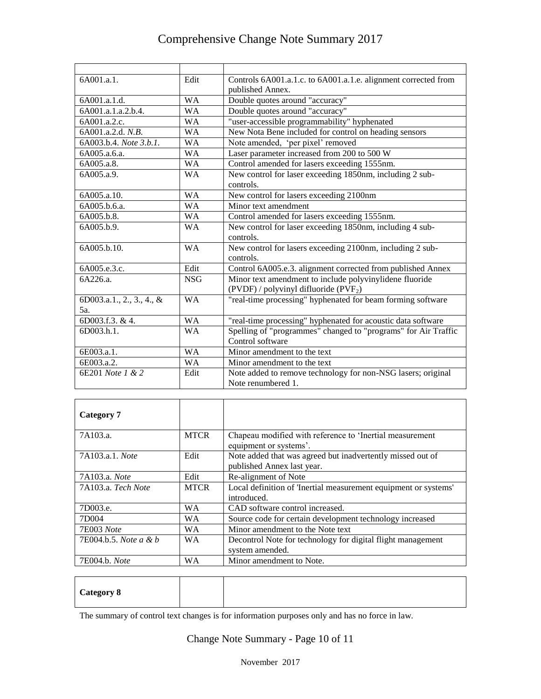| 6A001.a.1.                             | Edit       | Controls 6A001.a.1.c. to 6A001.a.1.e. alignment corrected from<br>published Annex.              |
|----------------------------------------|------------|-------------------------------------------------------------------------------------------------|
| 6A001.a.1.d.                           | <b>WA</b>  | Double quotes around "accuracy"                                                                 |
| 6A001.a.1.a.2.b.4.                     | <b>WA</b>  | Double quotes around "accuracy"                                                                 |
| 6A001.a.2.c.                           | <b>WA</b>  | "user-accessible programmability" hyphenated                                                    |
| 6A001.a.2.d. N.B.                      | <b>WA</b>  | New Nota Bene included for control on heading sensors                                           |
| 6A003.b.4. Note 3.b.1.                 | <b>WA</b>  | Note amended, 'per pixel' removed                                                               |
| 6A005.a.6.a.                           | <b>WA</b>  | Laser parameter increased from 200 to 500 W                                                     |
| 6A005.a.8.                             | <b>WA</b>  | Control amended for lasers exceeding 1555nm.                                                    |
| 6A005.a.9.                             | <b>WA</b>  | New control for laser exceeding 1850nm, including 2 sub-<br>controls.                           |
| 6A005.a.10.                            | <b>WA</b>  | New control for lasers exceeding 2100nm                                                         |
| 6A005.b.6.a.                           | <b>WA</b>  | Minor text amendment                                                                            |
| 6A005.b.8.                             | <b>WA</b>  | Control amended for lasers exceeding 1555nm.                                                    |
| 6A005.b.9.                             | <b>WA</b>  | New control for laser exceeding 1850nm, including 4 sub-<br>controls.                           |
| 6A005.b.10.                            | <b>WA</b>  | New control for lasers exceeding 2100nm, including 2 sub-<br>controls.                          |
| 6A005.e.3.c.                           | Edit       | Control 6A005.e.3. alignment corrected from published Annex                                     |
| 6A226.a.                               | <b>NSG</b> | Minor text amendment to include polyvinylidene fluoride<br>(PVDF) / polyvinyl difluoride (PVF2) |
| 6D003.a.1., 2., 3., 4., &<br>5а.       | <b>WA</b>  | "real-time processing" hyphenated for beam forming software                                     |
| 6D003.f.3. & 4.                        | <b>WA</b>  | "real-time processing" hyphenated for acoustic data software                                    |
| 6D003.h.1.                             | <b>WA</b>  | Spelling of "programmes" changed to "programs" for Air Traffic                                  |
|                                        |            | Control software                                                                                |
| 6E003.a.1.<br>$6E003.a.\overline{2}$ . | <b>WA</b>  | Minor amendment to the text                                                                     |
|                                        | <b>WA</b>  | Minor amendment to the text                                                                     |
| 6E201 Note 1 & 2                       | Edit       | Note added to remove technology for non-NSG lasers; original<br>Note renumbered 1.              |

| Category 7                       |             |                                                                                          |
|----------------------------------|-------------|------------------------------------------------------------------------------------------|
| 7A103.a.                         | <b>MTCR</b> | Chapeau modified with reference to 'Inertial measurement<br>equipment or systems'.       |
| 7A103.a.1. Note                  | Edit        | Note added that was agreed but inadvertently missed out of<br>published Annex last year. |
| 7A103.a. Note                    | Edit        | Re-alignment of Note                                                                     |
| 7A103.a. Tech Note               | <b>MTCR</b> | Local definition of 'Inertial measurement equipment or systems'<br>introduced.           |
| 7D003.e.                         | W A         | CAD software control increased.                                                          |
| 7D <sub>004</sub>                | <b>WA</b>   | Source code for certain development technology increased                                 |
| 7E003 Note                       | <b>WA</b>   | Minor amendment to the Note text                                                         |
| 7E004.b.5. <i>Note a &amp; b</i> | <b>WA</b>   | Decontrol Note for technology for digital flight management<br>system amended.           |
| 7E004.b. Note                    | <b>WA</b>   | Minor amendment to Note.                                                                 |

| <b>Category 8</b> |  |  |  |  |
|-------------------|--|--|--|--|
|-------------------|--|--|--|--|

The summary of control text changes is for information purposes only and has no force in law.

Change Note Summary - Page 10 of 11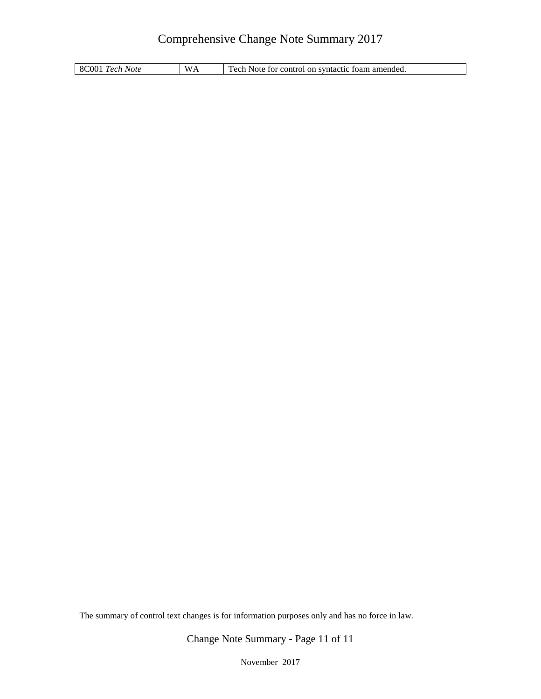8C001 *Tech Note* WA Tech Note for control on syntactic foam amended.

The summary of control text changes is for information purposes only and has no force in law.

Change Note Summary - Page 11 of 11

November 2017